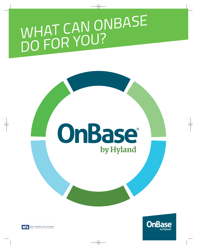# WHAT CAN ONBASE<br>DO FOR YOU?

# OnBase® by Hyland



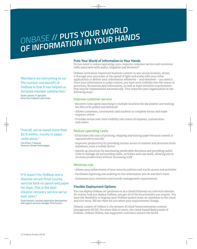# ONBASE // PUTS YOUR WORLD OF INFORMATION IN YOUR HANDS

"Members are everything to us. The number one benefit of OnBase is that it has helped us increase member satisfaction."

Sarah Lawson, IT specialist Alcoa Tenn Federal Credit Union

"Overall, we've saved more than \$2.9 million, mostly in paper costs alone."

Tim Arthur. IT director **Emerson Climate Technologies** 

"If it wasn't for OnBase and a disaster struck Pinal County, we'd be back on pencil and paper for days. This is the best disaster recovery service we've ever seen."

Doyle Johnson, business application development and support services manager, Pinal County

### **Puts Your World of Information in Your Hands**

Do you want to reduce operating costs, improve customer service and minimize risks associated with audits, litigation and disasters?

OnBase centralizes important business content in one secure location, drives it through your processes at the speed of light and works with your other applications to deliver your information whenever - and wherever - you need it. Once your information is under control, you have total visibility into the status of processes, documents and information, as well as legal retention requirements that may be implemented automatically. This improves your organization in the following ways:

### **Improve customer service**

- · Recovers time spent searching in multiple locations for documents and waiting for files to be pulled and delivered
- · Allows customers, constituents and students to complete forms and make requests online
- · Provides online real-time visibility into status of requests, transactions and orders

### **Reduce operating costs**

- · Eliminates the costs of printing, shipping and storing paper because content is captured electronically
- · Improves productivity by providing instant access to content and processes from anywhere, even a mobile device
- · Speeds up processes by automating predictable decisions and providing useful tools to manage all surrounding tasks, activities and case work, allowing you to increase productivity without increasing staff

### Minimize risk

- · Allows easy enforcement of your security policies and tracks access and activities
- · Facilitates reporting and auditing on the information you do and don't have
- · Automates your retention and records management requirements

### **Flexible Deployment Options**

You can deploy OnBase on-premises or as a cloud (Software as a Service) solution. No matter how you deploy OnBase, you get all of the functionality you require. You have the flexibility to migrate your OnBase system from on-premises to the cloud and vice versa. We are there for you when your requirements change.

Hyland, creator of OnBase is the pioneer of cloud-based enterprise content management (ECM). For more than 10 years, the cloud-based deployment of OnBase, OnBase Online, has supported customers around the world.

21 OnBase Product Brief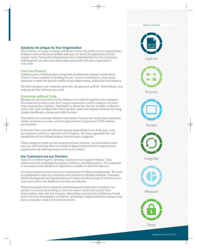#### PRODUCT CATEGORIES

### **Solutions As Unique As Your Organization**

With OnBase, it's easy to design solutions to meet the needs of your organization. OnBase is one of the most flexible and easy-to-use ECM applications on the market today. Tailored for departments but comprehensive for the enterprise, On Base gives you what you need today and grows with your organization over time.

### **One Core Product**

OnBase is one unified product comprised of individual modular components. Think of these modules as building blocks. Used in combination, they create solutions to meet the specific needs of your department, enterprise and industry.

We don't employ a one-size/one-price fits-all approach to ECM. With OnBase, you only pay for the software you need.

### **Customize without Code**

Because the functionality within OnBase isn't cobbled together from separate, disconnected products, you don't require expensive custom coding or services costs to grow your solution. Developed in-house for the last 20 years, OnBase is point-and-click configurable. Users quickly create and expand solutions by using simple checkboxes, menus and radio buttons.

This ability to customize without code means that you can tackle your enterprise needs one phase at a time, and the opportunities to grow your ECM solution are limitless.

In this brochure, you will discover exactly what OnBase can do for you, from the moment content is captured until it expires. We have organized the vast capabilities of the OnBase product into six main categories.

These categories make up the structure of your solution. As you examine each one, you will find that there is a world of opportunity for you to improve your organization by working smarter with your content.

### **Our Customers are our Partners**

Hyland's certified experts develop, implement and support OnBase. They understand the challenges facing your industry and departments. This expertise is one reason why Hyland is recognized as a leader in the ECM industry.

One of our greatest resources is our community of OnBase professionals. We work in collaboration with our customers and partners to develop OnBase. Customerdriven development at Hyland means we create consistent ways to hear from our users and utilize that feedback to evolve our solution.

With 100 percent of our research and development dedicated to OnBase, our product is constantly evolving to meet our users' needs and exceed their expectations. Over the last 20 years, Hyland has invested two millennia of work hours into the development of OnBase, resulting in regular software releases that keep our product new, fresh and innovative.



Capture



Process



Access











Store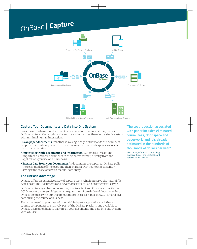### OnBase | Capture



### **Capture Your Documents and Data into One System**

Regardless of where your documents are located or what format they come in, On Base captures them right at the source and organizes them into a single system with minimal human interaction.

- Scan paper documents: Whether it's a single page or thousands of documents, capture them where you receive them, saving the time and expense associated with transportation.
- · Import electronic documents and information: Automatically capture important electronic documents in their native format, directly from the applications you use on a daily basis.
- Extract data from your documents: As documents are captured, OnBase pulls the relevant data off the page and then shares it with your other systems saving time associated with manual data entry.

### **The OnBase Advantage**

OnBase offers an extensive array of capture tools, which preserve the natural file type of captured documents and never forces you to use a proprietary file type.

OnBase capture goes beyond scanning. Capture text and PDF streams with the COLD import processor. Migrate large quantities of pre-indexed documents into OnBase en-mass with our Document Import Processor. Ingest XML, HL7 and EDI data during the course of business.

There is no need to purchase additional third-party applications. All these capture components are natively part of the OnBase platform and available to OnBase users upon install. Capture all your documents and data into one system with OnBase.

"The cost reduction associated with paper includes eliminated courier fees, floor space and paperwork, and it is already estimated in the hundreds of thousands of dollars per year."

Glenn Vose, information technology manager Budget and Control Board **State of South Carolina**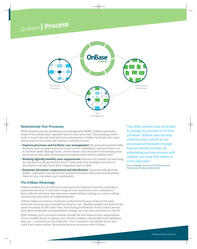### OnBase | Process



### **Revolutionize Your Processes**

With business process modeling and management (BPM), OnBase automates many of the predictable, repeated steps in your processes. By providing useful tools to search for and work with your information, OnBase facilitates the tasks and actions to save time and improve customer service.

- Improve processes and facilitate case management: By automating predictable decisions and routing exceptions to the correct individuals, your processes run at optimal speed. Manage tasks, conversations and reminders surrounding your processes in the same system and accomplish more without adding staff.
- Working digitally benefits your organization: Retrieve documents by searching for any word or phrase within them. Create and track multiple revisions of documents and sign them with a signature pad or tablet.
- Automate document composition and distribution: Automatically generate letters, statements and documents based on business decisions and distribute them to your customers and constituents.

### **The OnBase Advantage**

OnBase enables you to build your own processes without extensive training or expensive services. A selection of logical rules and actions are combined to form tailored solutions that meet your needs without relying on custom coding – minimizing time spent on implementation.

OnBase helps you ensure consistent productivity because work can be loadbalanced across groups of people by name or role. Multiple people can work on the same document at the same time, eliminating bottlenecks from a linear process. And when workloads or requirements change, you can alter processes on the fly.

With OnBase, your processes extend outside the four walls of your organization. From a mobile device or laptop, your decision makers execute decisions wherever they are - connected or disconnected. Your customers can submit forms and track their status online. Revolutionize your processes with OnBase.

"The other vendors said we'd have to change our process to fit their software. OnBase was the only software that could fit to our processes and wouldn't change how we already worked. By automating just one process with OnBase, we avoid \$30 million in costs each year."

Paul H. Alpaughl, director of UC Disbursements Pennsylvania Treasury Department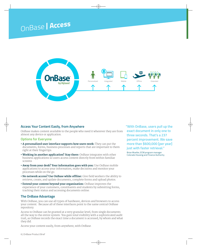### OnBase | Access



### **Access Your Content Easily, from Anywhere**

OnBase makes content available to the people who need it wherever they are from almost any device or application.

### **Options for Everyone**

- A personalized user interface supports how users work: They can put the documents, forms, business processes and reports that are important to them right at their fingertips.
- Working in another application? Stay there: OnBase integrates with other business applications so users access content directly from within familiar screens
- . Away from your desk? Your information goes with you: Use OnBase mobile applications to access your information, make decisions and monitor your processes while on the go.
- No network access? Use OnBase while offline: Give field workers the ability to retrieve, create, and update documents, complete forms and upload photos.
- Extend your content beyond your organization: OnBase improves the experience of your customers, constituents and students by submitting forms, tracking their status and accessing documents online.

### **The OnBase Advantage**

With OnBase, you can use all types of hardware, devices and browsers to access your content. Because all of these interfaces point to the same central OnBase repository.

Access to OnBase can be granted at a very granular level, from single documents all the way to the entire system. You gain total visibility with a sophisticated audit trail, as OnBase records the exact time a document is accessed, by whom and what they did.

Access your content easily, from anywhere, with OnBase.

"With OnBase, users pull up the exact document in only one to three seconds. That's a 237 percent improvement. We save more than \$600,000 [per year] just with faster retrieval."

Brian Mueller, ECM program manager **Colorado Housing and Finance Authority**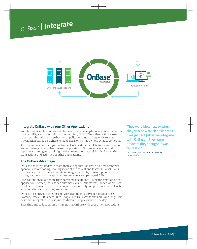### OnBase | Integrate



### **Integrate OnBase with Your Other Applications**

Your business applications are at the heart of your everyday operations - whether it's your ERP, accounting, HR, claims, lending, EMR, SIS or other critical system. When working within those business applications, users frequently rely on information stored elsewhere to make decisions. That's where OnBase comes in.

The documents and data you capture in OnBase directly relate to the information and activities in your other business applications. OnBase acts as a central repository, intelligently linking the documents and data within OnBase to the transactions and activities in other applications.

### **The OnBase Advantage**

OnBase has integrated with more than 500 applications with no time or money spent on custom coding, making it one of the easiest and fastest ECM solutions to integrate. It also offers a variety of integration tools, from our point-and-click configuration tool to our application connectors and packaged APIs.

Integrations are about more than accessing documents. Using information on the application's screen, OnBase can automatically fill out eforms, launch workflows, print barcode cover-sheets for scan jobs, dynamically compose documents (such as offer letters and policies) and more.

OnBase also provides integrations with leading industry solutions such as SAP, Lawson, Oracle E-Business Suite, PeopleSoft, JD Edwards and Esri. One long-time customer integrated OnBase with 12 different applications in one day.

Save time and reduce errors by integrating OnBase with your other applications.

"They were blown away when they saw how much easier their lives just got [after we integrated with OnBase]...they were amazed; they thought it was fantastic."

Tim Oliver, assistant director of IT/GIS **Horry County**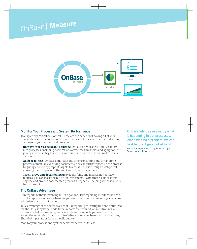### OnBase | Measure



### **Monitor Your Process and System Performance**

Transparency. Visibility. Control. These are the benefits of having all of your information stored in one central place. OnBase allows you to better understand the status of your content and processes.

- Improve process speed and accuracy: OnBase provides real-time visibility into processes, including notifications of volume thresholds and aging content, giving you the ability to identify and eliminate bottlenecks and make timely decisions.
- Audit readiness: OnBase eliminates the time-consuming and error-prone process of manually verifying documents. You can further speed up the process by giving auditors appropriate rights to access OnBase through a web portal, allowing them to perform the audit without coming on-site.
- Track, prove and document ROI: By identifying and measuring your key metrics, you can track the return on investment (ROI) OnBase supplies from day one and provide documented proof as it happens - helping you cost-justify future projects.

### **The OnBase Advantage**

Run reports without involving IT. Using an intuitive reporting interface, you can run the reports you need, whenever you need them, without requiring a database administrator to do it for you.

Take advantage of the extensive set of 180 reports, pre-configured and optimized for the OnBase system. If additional reports are required, an intuitive, wizarddriven tool helps you create, manage and run the reports you need. You can access the report dashboards within OnBase from anywhere - such as websites, SharePoint portals or from a mobile device.

Monitor your process and system performance with OnBase.

"OnBase lets us see exactly what is happening in our processes. When we find a problem, we can fix it before it gets out of hand."

Marti Lattimer, content management manager **Grinnell Mutual Reinsurance**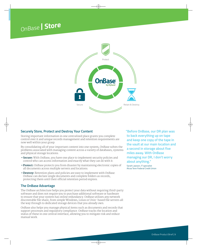

### **Securely Store, Protect and Destroy Your Content**

Storing important information in one centralized place grants you complete control over it and unique records management and retention requirements are now well within your grasp.

By consolidating all of your important content into one system, OnBase solves the problems associated with managing content across a variety of databases, systems and physical storage locations.

- Secure: With OnBase, you have one place to implement security policies and control who can access information and exactly what they can do with it.
- Protect: OnBase protects you from disaster by maintaining electronic copies of all documents across multiple servers and locations.
- Destroy: Retention plans and policies are easy to implement with OnBase. OnBase can declare single documents and complete folders as records, protecting them until their official retention period expires.

### **The OnBase Advantage**

The OnBase architecture helps you protect your data without requiring third-party software and does not require you to purchase additional software or hardware to ensure that your system has online redundancy. On Base utilizes any network discoverable file share, from simple Windows, Linux or Unix- based file servers all the way through to dedicated storage devices that you already own.

OnBase also helps you manage physical items such as documents and records that support processes and regulatory compliance. OnBase tracks the location and status of these in one central interface, allowing you to mitigate risk and reduce manual work.

"Before OnBase, our DR plan was to back everything up on tape and keep one copy of the tape in the vault at our main location and a second in storage about five miles away. With OnBase managing our DR, I don't worry about anything."

Sarah Lawson, IT specialist Alcoa Tenn Federal Credit Union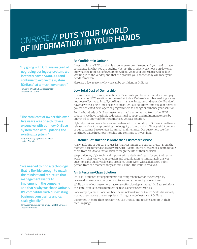# ONBASE // PUTS YOUR WORLD OF INFORMATION IN YOUR HANDS

"By going with OnBase instead of upgrading our legacy system, we instantly saved \$400,000 and continue to evolve the system **[OnBase] at a much lower cost."** 

Kimberly Wraight, ECM coordinator **Washtenaw County** 

"The total cost of ownership over five years was one-third less expensive with our new OnBase system than with updating the existing ...system."

Tony Morrissey, systems manager **United Biscuits** 

"We needed to find a technology that is flexible enough to match the mindset and structure that management wants to implement in the company and that's why we chose OnBase. It's compatible with our existing business constraints and can scale globally."

Tom Assenza, senior vice president of IT Services **Global Aerospace** 

### **Be Confident in OnBase**

Investing in any ECM product is a long-term commitment and you need to have confidence in what you are buying. Not just the product you choose on day one, but what the total cost of ownership will be, what your experience will be like working with the vendor, and that the product you choose today will meet your needs tomorrow.

Here are a few reasons why you can be confident in OnBase:

### **Low Total Cost of Ownership**

In almost every instance, selecting OnBase costs you less than what you will pay for any other ECM solution on the market today. OnBase is nimble, making it easy and cost-effective to install, configure, manage, integrate and upgrade. You don't have to write a single line of code to create OnBase solutions, and you don't have to pay for dedicated developers or programmers to change or enhance your solution.

For the hundreds of OnBase customers that have converted from other ECM products, we have routinely reduced annual support and maintenance costs by one-third to one-half for the same-size OnBase solution.

Hyland provides new solutions and enhanced functionality to OnBase in software releases without compromising the integrity of our product. Ninety-eight percent of our customer base renews its annual maintenance. Our customers see the continued value in our partnership and continue to invest in it.

### **Customer Satisfaction is More than Customer Service**

At Hyland, one of our core values is: "Our customers are our partners." From the moment a customer decides to work with Hyland, they are assigned a team to take them from an idea to installation through the life of their solution.

We provide 24/7/365 technical support with a dedicated team for you to directly work with that knows your solution and organization to immediately answer questions and quickly solve any problem. Users work with a dedicated point person from the moment they contact us until the issue is resolved.

### **An Enterprise-Class Solution**

OnBase is tailored for departments but comprehensive for the enterprise, designed to give you what you need today and grow with you over time.

While some of our customers have cost-effective departmental OnBase solutions, the same product scales to meet the needs of entire enterprises.

For example, a multi-location healthcare network in the United States has nearly 24,000 users across the enterprise utilizing a single instance of OnBase.

Customers in more than 60 countries use OnBase and receive support in their own language.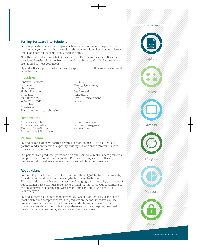#### PRODUCT CATEGORIES

### **Turning Software into Solutions**

OnBase provides you with a complete ECM solution, built upon one product. From the moment your content is captured, all the way until it expires, it is completely under your control. But this is only the beginning.

Now that you understand what OnBase can do, it's time to turn the software into solutions. By using elements from each of these six categories, OnBase solutions are tailored to meet your needs.

Hyland software provides deep industry expertise in the following industries and departments:

**Utilities** 

Oil &

Mining, Quarrying,

Arts & Entertainment

**Gas Extraction** 

Agriculture

Services

#### 

**Financial Services** Government Healthcare Higher Education Insurance Manufacturing Wholesale Trade Retail Trade Construction Transportation & Warehousing

#### 

Accounts Pavable Accounts Receivable Financial Close Process Procurement & Purchasing

Human Resources Contract Management Process Control

### 

Hyland has an extensive partner channel of more than 300 certified OnBase partners and 3,000 certified experts providing our worldwide community with local expertise and support.

Our partners are product experts and help our users solve real business problems and provide additional value beyond OnBase know-how, such as software, hardware and consultative services from one credible, expert resource.

### **About Hyland**

For over 20 years, Hyland has helped our more than 12,500 lifetime customers by providing real-world solutions to everyday business challenges. That dedication is why Hyland realizes double-digit growth, and why 98 percent of our customer base continues to renew its annual maintenance. Our customers see the ongoing value of partnering with Hyland and continue to work with us year after year.

Hyland's enterprise content management (ECM) solution, OnBase, is one of the most flexible and comprehensive ECM products on the market today. OnBase empowers users to grow their solutions as needs change and business evolves. It is tailored for departments, but comprehensive for the enterprise, designed to give you what you need today and evolve with you over time.



Capture



Process



Access







Measure



Store